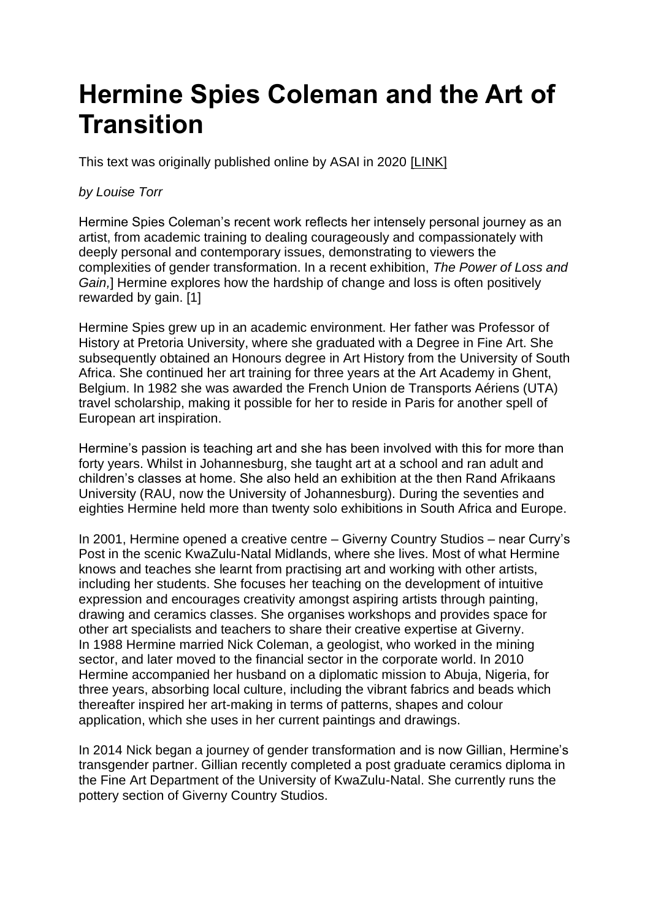## **Hermine Spies Coleman and the Art of Transition**

This text was originally published online by ASAI in 2020 [\[LINK\]](https://asai.co.za/hermine-spies-coleman-art-of-transition/#more-19986)

## *by Louise Torr*

Hermine Spies Coleman's recent work reflects her intensely personal journey as an artist, from academic training to dealing courageously and compassionately with deeply personal and contemporary issues, demonstrating to viewers the complexities of gender transformation. In a recent exhibition, *The Power of Loss and Gain,*] Hermine explores how the hardship of change and loss is often positively rewarded by gain. [1]

Hermine Spies grew up in an academic environment. Her father was Professor of History at Pretoria University, where she graduated with a Degree in Fine Art. She subsequently obtained an Honours degree in Art History from the University of South Africa. She continued her art training for three years at the Art Academy in Ghent, Belgium. In 1982 she was awarded the French Union de Transports Aériens (UTA) travel scholarship, making it possible for her to reside in Paris for another spell of European art inspiration.

Hermine's passion is teaching art and she has been involved with this for more than forty years. Whilst in Johannesburg, she taught art at a school and ran adult and children's classes at home. She also held an exhibition at the then Rand Afrikaans University (RAU, now the University of Johannesburg). During the seventies and eighties Hermine held more than twenty solo exhibitions in South Africa and Europe.

In 2001, Hermine opened a creative centre – Giverny Country Studios – near Curry's Post in the scenic KwaZulu-Natal Midlands, where she lives. Most of what Hermine knows and teaches she learnt from practising art and working with other artists, including her students. She focuses her teaching on the development of intuitive expression and encourages creativity amongst aspiring artists through painting, drawing and ceramics classes. She organises workshops and provides space for other art specialists and teachers to share their creative expertise at Giverny. In 1988 Hermine married Nick Coleman, a geologist, who worked in the mining sector, and later moved to the financial sector in the corporate world. In 2010 Hermine accompanied her husband on a diplomatic mission to Abuja, Nigeria, for three years, absorbing local culture, including the vibrant fabrics and beads which thereafter inspired her art-making in terms of patterns, shapes and colour application, which she uses in her current paintings and drawings.

In 2014 Nick began a journey of gender transformation and is now Gillian, Hermine's transgender partner. Gillian recently completed a post graduate ceramics diploma in the Fine Art Department of the University of KwaZulu-Natal. She currently runs the pottery section of Giverny Country Studios.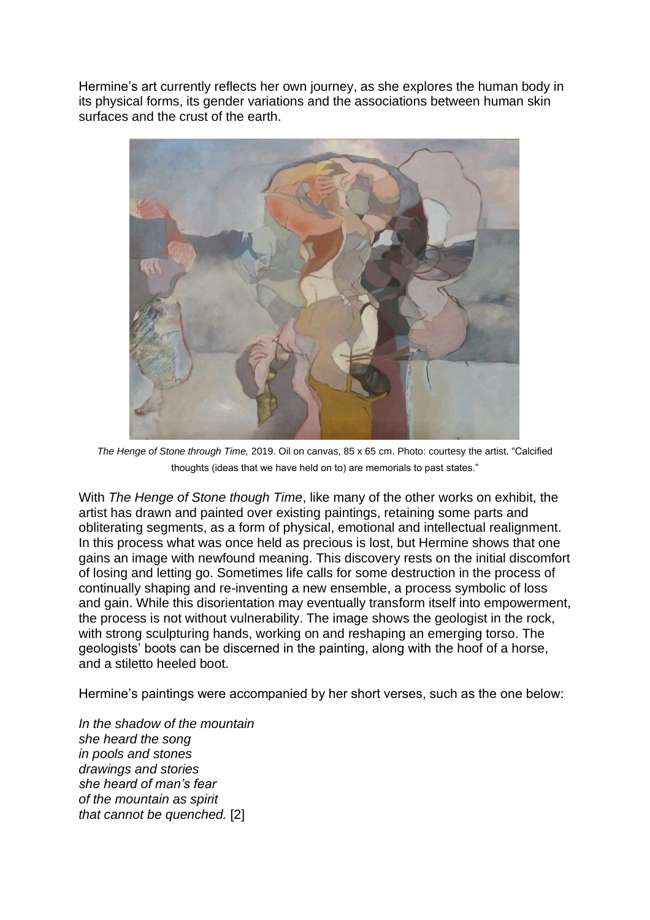Hermine's art currently reflects her own journey, as she explores the human body in its physical forms, its gender variations and the associations between human skin surfaces and the crust of the earth.



*The Henge of Stone through Time,* 2019. Oil on canvas, 85 x 65 cm. Photo: courtesy the artist. "Calcified thoughts (ideas that we have held on to) are memorials to past states."

With *The Henge of Stone though Time*, like many of the other works on exhibit, the artist has drawn and painted over existing paintings, retaining some parts and obliterating segments, as a form of physical, emotional and intellectual realignment. In this process what was once held as precious is lost, but Hermine shows that one gains an image with newfound meaning. This discovery rests on the initial discomfort of losing and letting go. Sometimes life calls for some destruction in the process of continually shaping and re-inventing a new ensemble, a process symbolic of loss and gain. While this disorientation may eventually transform itself into empowerment, the process is not without vulnerability. The image shows the geologist in the rock, with strong sculpturing hands, working on and reshaping an emerging torso. The geologists' boots can be discerned in the painting, along with the hoof of a horse, and a stiletto heeled boot.

Hermine's paintings were accompanied by her short verses, such as the one below:

*In the shadow of the mountain she heard the song in pools and stones drawings and stories she heard of man's fear of the mountain as spirit that cannot be quenched.* [2]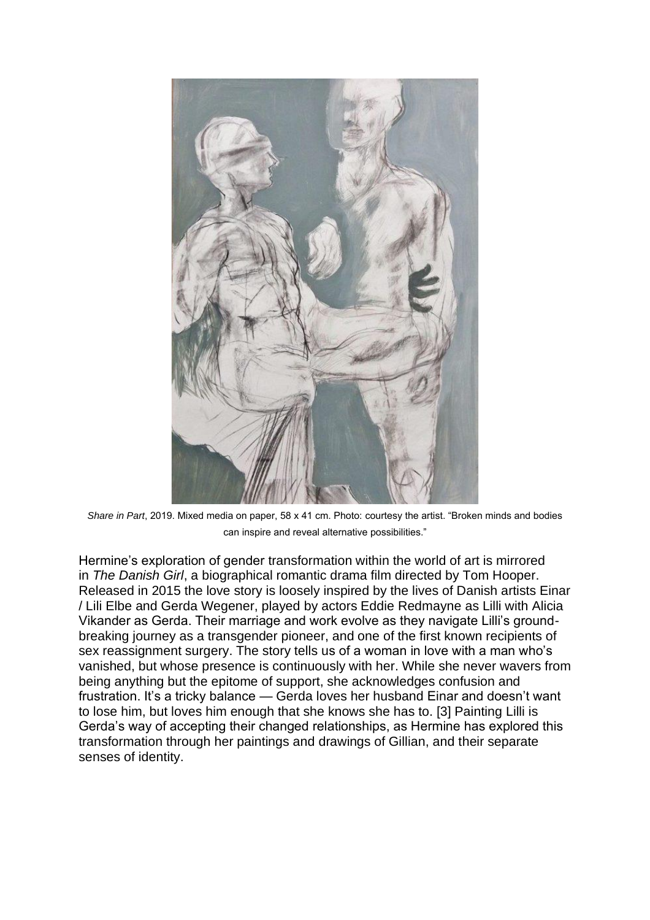

*Share in Part*, 2019. Mixed media on paper, 58 x 41 cm. Photo: courtesy the artist. "Broken minds and bodies can inspire and reveal alternative possibilities."

Hermine's exploration of gender transformation within the world of art is mirrored in *The Danish Girl*, a biographical romantic drama film directed by Tom Hooper. Released in 2015 the love story is loosely inspired by the lives of Danish artists Einar / Lili Elbe and Gerda Wegener, played by actors Eddie Redmayne as Lilli with Alicia Vikander as Gerda. Their marriage and work evolve as they navigate Lilli's groundbreaking journey as a transgender pioneer, and one of the first known recipients of sex reassignment surgery. The story tells us of a woman in love with a man who's vanished, but whose presence is continuously with her. While she never wavers from being anything but the epitome of support, she acknowledges confusion and frustration. It's a tricky balance — Gerda loves her husband Einar and doesn't want to lose him, but loves him enough that she knows she has to. [3] Painting Lilli is Gerda's way of accepting their changed relationships, as Hermine has explored this transformation through her paintings and drawings of Gillian, and their separate senses of identity.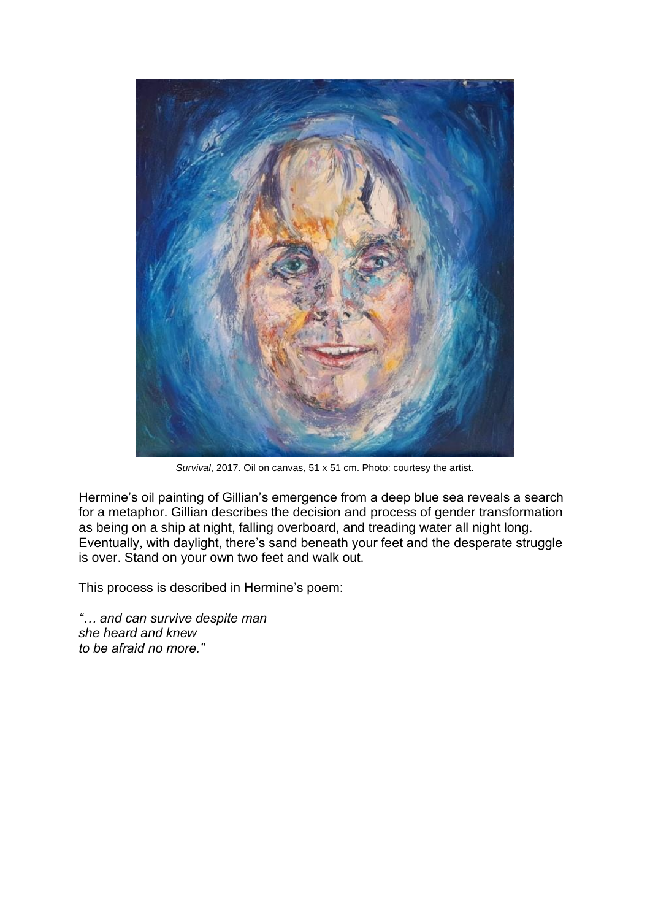

*Survival*, 2017. Oil on canvas, 51 x 51 cm. Photo: courtesy the artist.

Hermine's oil painting of Gillian's emergence from a deep blue sea reveals a search for a metaphor. Gillian describes the decision and process of gender transformation as being on a ship at night, falling overboard, and treading water all night long. Eventually, with daylight, there's sand beneath your feet and the desperate struggle is over. Stand on your own two feet and walk out.

This process is described in Hermine's poem:

*"… and can survive despite man she heard and knew to be afraid no more."*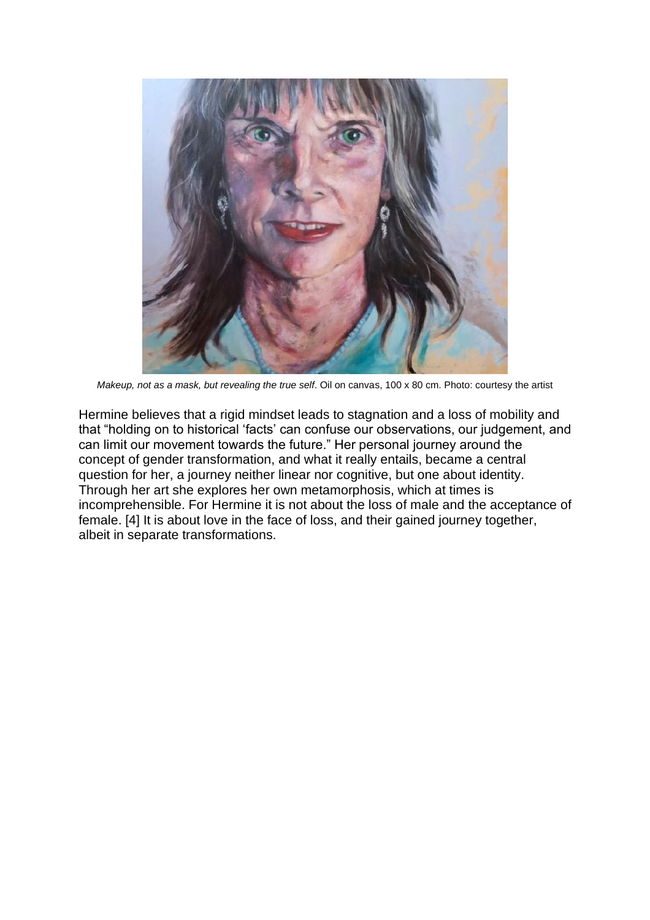

*Makeup, not as a mask, but revealing the true self*. Oil on canvas, 100 x 80 cm. Photo: courtesy the artist

Hermine believes that a rigid mindset leads to stagnation and a loss of mobility and that "holding on to historical 'facts' can confuse our observations, our judgement, and can limit our movement towards the future." Her personal journey around the concept of gender transformation, and what it really entails, became a central question for her, a journey neither linear nor cognitive, but one about identity. Through her art she explores her own metamorphosis, which at times is incomprehensible. For Hermine it is not about the loss of male and the acceptance of female. [4] It is about love in the face of loss, and their gained journey together, albeit in separate transformations.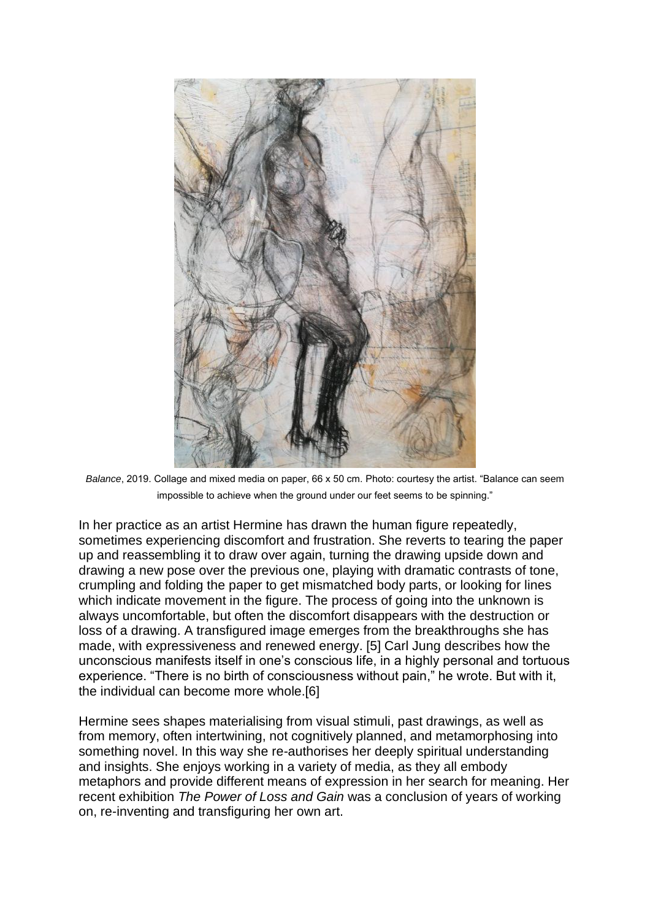

*Balance*, 2019. Collage and mixed media on paper, 66 x 50 cm. Photo: courtesy the artist. "Balance can seem impossible to achieve when the ground under our feet seems to be spinning."

In her practice as an artist Hermine has drawn the human figure repeatedly, sometimes experiencing discomfort and frustration. She reverts to tearing the paper up and reassembling it to draw over again, turning the drawing upside down and drawing a new pose over the previous one, playing with dramatic contrasts of tone, crumpling and folding the paper to get mismatched body parts, or looking for lines which indicate movement in the figure. The process of going into the unknown is always uncomfortable, but often the discomfort disappears with the destruction or loss of a drawing. A transfigured image emerges from the breakthroughs she has made, with expressiveness and renewed energy. [5] Carl Jung describes how the unconscious manifests itself in one's conscious life, in a highly personal and tortuous experience. "There is no birth of consciousness without pain," he wrote. But with it, the individual can become more whole.[6]

Hermine sees shapes materialising from visual stimuli, past drawings, as well as from memory, often intertwining, not cognitively planned, and metamorphosing into something novel. In this way she re-authorises her deeply spiritual understanding and insights. She enjoys working in a variety of media, as they all embody metaphors and provide different means of expression in her search for meaning. Her recent exhibition *The Power of Loss and Gain* was a conclusion of years of working on, re-inventing and transfiguring her own art.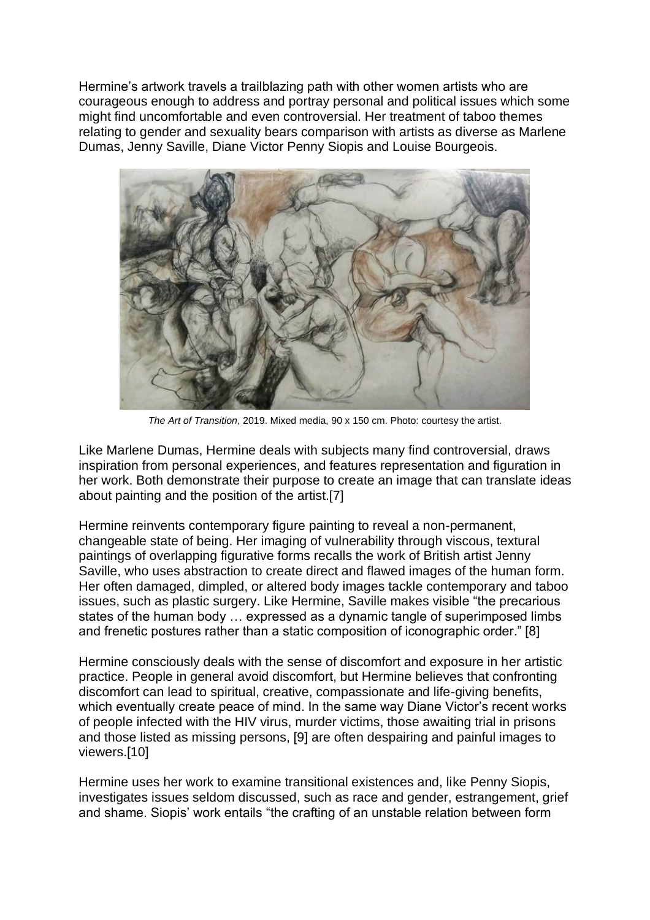Hermine's artwork travels a trailblazing path with other women artists who are courageous enough to address and portray personal and political issues which some might find uncomfortable and even controversial. Her treatment of taboo themes relating to gender and sexuality bears comparison with artists as diverse as Marlene Dumas, Jenny Saville, Diane Victor Penny Siopis and Louise Bourgeois.



*The Art of Transition*, 2019. Mixed media, 90 x 150 cm. Photo: courtesy the artist.

Like Marlene Dumas, Hermine deals with subjects many find controversial, draws inspiration from personal experiences, and features representation and figuration in her work. Both demonstrate their purpose to create an image that can translate ideas about painting and the position of the artist.[7]

Hermine reinvents contemporary figure painting to reveal a non-permanent, changeable state of being. Her imaging of vulnerability through viscous, textural paintings of overlapping figurative forms recalls the work of British artist Jenny Saville, who uses abstraction to create direct and flawed images of the human form. Her often damaged, dimpled, or altered body images tackle contemporary and taboo issues, such as plastic surgery. Like Hermine, Saville makes visible "the precarious states of the human body … expressed as a dynamic tangle of superimposed limbs and frenetic postures rather than a static composition of iconographic order." [8]

Hermine consciously deals with the sense of discomfort and exposure in her artistic practice. People in general avoid discomfort, but Hermine believes that confronting discomfort can lead to spiritual, creative, compassionate and life-giving benefits, which eventually create peace of mind. In the same way Diane Victor's recent works of people infected with the HIV virus, murder victims, those awaiting trial in prisons and those listed as missing persons, [9] are often despairing and painful images to viewers.[10]

Hermine uses her work to examine transitional existences and, like Penny Siopis, investigates issues seldom discussed, such as race and gender, estrangement, grief and shame. Siopis' work entails "the crafting of an unstable relation between form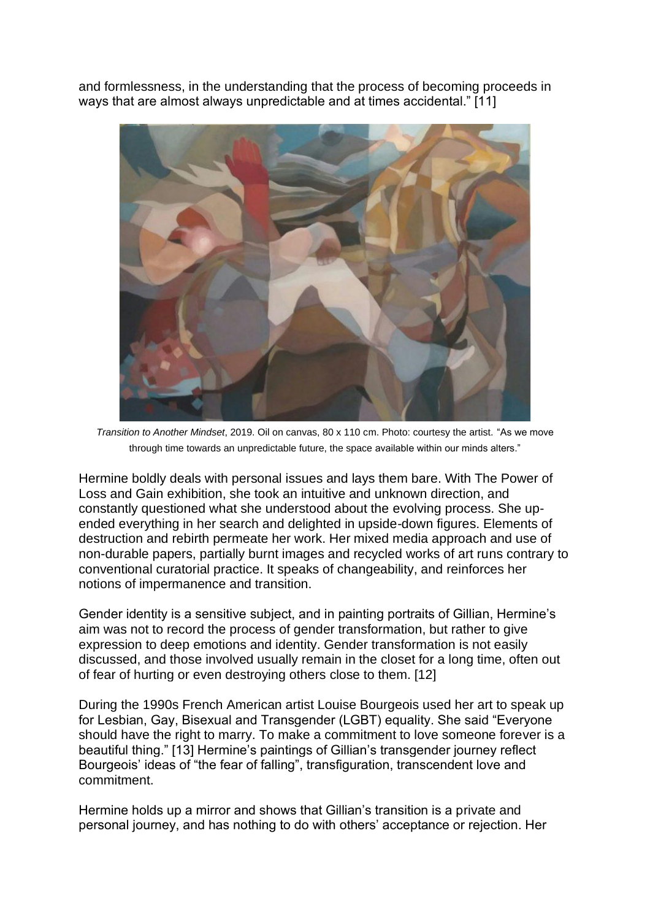and formlessness, in the understanding that the process of becoming proceeds in ways that are almost always unpredictable and at times accidental." [11]



*Transition to Another Mindset*, 2019. Oil on canvas, 80 x 110 cm. Photo: courtesy the artist. "As we move through time towards an unpredictable future, the space available within our minds alters."

Hermine boldly deals with personal issues and lays them bare. With The Power of Loss and Gain exhibition, she took an intuitive and unknown direction, and constantly questioned what she understood about the evolving process. She upended everything in her search and delighted in upside-down figures. Elements of destruction and rebirth permeate her work. Her mixed media approach and use of non-durable papers, partially burnt images and recycled works of art runs contrary to conventional curatorial practice. It speaks of changeability, and reinforces her notions of impermanence and transition.

Gender identity is a sensitive subject, and in painting portraits of Gillian, Hermine's aim was not to record the process of gender transformation, but rather to give expression to deep emotions and identity. Gender transformation is not easily discussed, and those involved usually remain in the closet for a long time, often out of fear of hurting or even destroying others close to them. [12]

During the 1990s French American artist Louise Bourgeois used her art to speak up for Lesbian, Gay, Bisexual and Transgender (LGBT) equality. She said "Everyone should have the right to marry. To make a commitment to love someone forever is a beautiful thing." [13] Hermine's paintings of Gillian's transgender journey reflect Bourgeois' ideas of "the fear of falling", transfiguration, transcendent love and commitment.

Hermine holds up a mirror and shows that Gillian's transition is a private and personal journey, and has nothing to do with others' acceptance or rejection. Her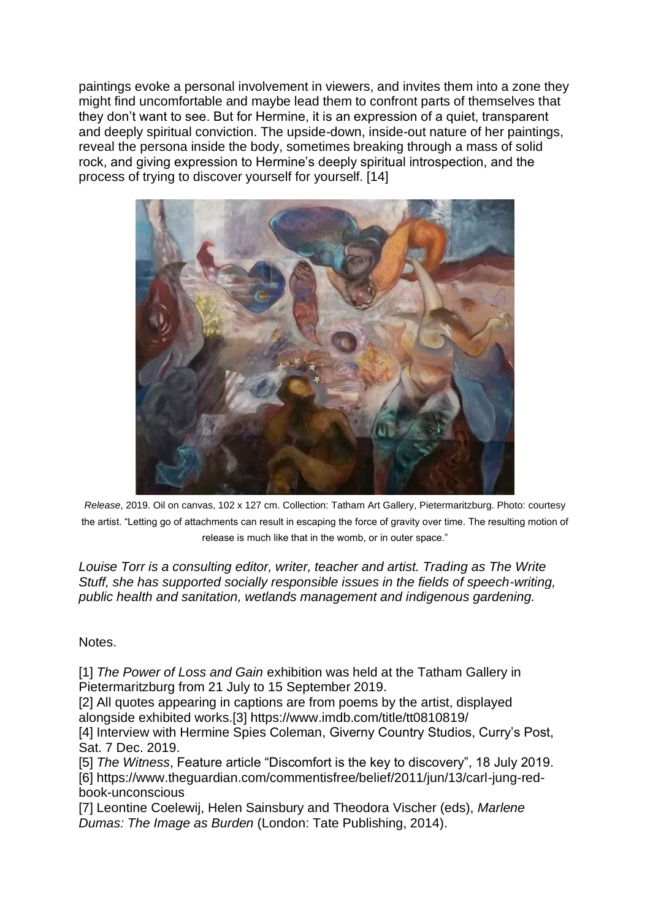paintings evoke a personal involvement in viewers, and invites them into a zone they might find uncomfortable and maybe lead them to confront parts of themselves that they don't want to see. But for Hermine, it is an expression of a quiet, transparent and deeply spiritual conviction. The upside-down, inside-out nature of her paintings, reveal the persona inside the body, sometimes breaking through a mass of solid rock, and giving expression to Hermine's deeply spiritual introspection, and the process of trying to discover yourself for yourself. [14]



*Release*, 2019. Oil on canvas, 102 x 127 cm. Collection: Tatham Art Gallery, Pietermaritzburg. Photo: courtesy the artist. "Letting go of attachments can result in escaping the force of gravity over time. The resulting motion of release is much like that in the womb, or in outer space."

*Louise Torr is a consulting editor, writer, teacher and artist. Trading as The Write Stuff, she has supported socially responsible issues in the fields of speech-writing, public health and sanitation, wetlands management and indigenous gardening.*

Notes.

[1] *The Power of Loss and Gain* exhibition was held at the Tatham Gallery in Pietermaritzburg from 21 July to 15 September 2019.

[2] All quotes appearing in captions are from poems by the artist, displayed alongside exhibited works.[3] https://www.imdb.com/title/tt0810819/

[4] Interview with Hermine Spies Coleman, Giverny Country Studios, Curry's Post, Sat. 7 Dec. 2019.

[5] *The Witness*, Feature article "Discomfort is the key to discovery", 18 July 2019. [6] https://www.theguardian.com/commentisfree/belief/2011/jun/13/carl-jung-redbook-unconscious

[7] Leontine Coelewij, Helen Sainsbury and Theodora Vischer (eds), *Marlene Dumas: The Image as Burden* (London: Tate Publishing, 2014).